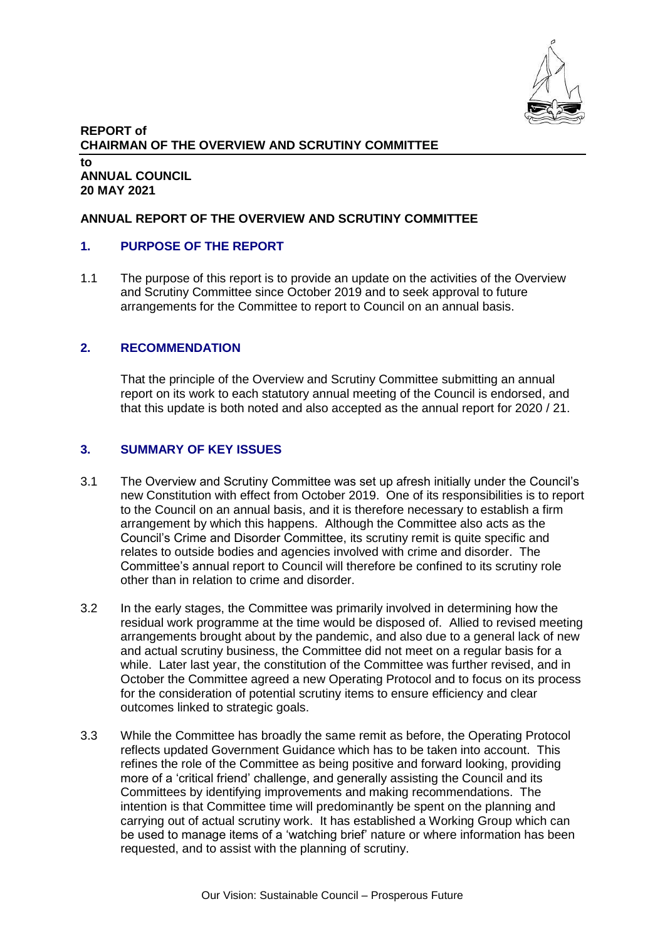

#### **REPORT of CHAIRMAN OF THE OVERVIEW AND SCRUTINY COMMITTEE to ANNUAL COUNCIL 20 MAY 2021**

### **ANNUAL REPORT OF THE OVERVIEW AND SCRUTINY COMMITTEE**

### **1. PURPOSE OF THE REPORT**

1.1 The purpose of this report is to provide an update on the activities of the Overview and Scrutiny Committee since October 2019 and to seek approval to future arrangements for the Committee to report to Council on an annual basis.

### **2. RECOMMENDATION**

That the principle of the Overview and Scrutiny Committee submitting an annual report on its work to each statutory annual meeting of the Council is endorsed, and that this update is both noted and also accepted as the annual report for 2020 / 21.

### **3. SUMMARY OF KEY ISSUES**

- 3.1 The Overview and Scrutiny Committee was set up afresh initially under the Council's new Constitution with effect from October 2019. One of its responsibilities is to report to the Council on an annual basis, and it is therefore necessary to establish a firm arrangement by which this happens. Although the Committee also acts as the Council's Crime and Disorder Committee, its scrutiny remit is quite specific and relates to outside bodies and agencies involved with crime and disorder. The Committee's annual report to Council will therefore be confined to its scrutiny role other than in relation to crime and disorder.
- 3.2 In the early stages, the Committee was primarily involved in determining how the residual work programme at the time would be disposed of. Allied to revised meeting arrangements brought about by the pandemic, and also due to a general lack of new and actual scrutiny business, the Committee did not meet on a regular basis for a while. Later last year, the constitution of the Committee was further revised, and in October the Committee agreed a new Operating Protocol and to focus on its process for the consideration of potential scrutiny items to ensure efficiency and clear outcomes linked to strategic goals.
- 3.3 While the Committee has broadly the same remit as before, the Operating Protocol reflects updated Government Guidance which has to be taken into account. This refines the role of the Committee as being positive and forward looking, providing more of a 'critical friend' challenge, and generally assisting the Council and its Committees by identifying improvements and making recommendations. The intention is that Committee time will predominantly be spent on the planning and carrying out of actual scrutiny work. It has established a Working Group which can be used to manage items of a 'watching brief' nature or where information has been requested, and to assist with the planning of scrutiny.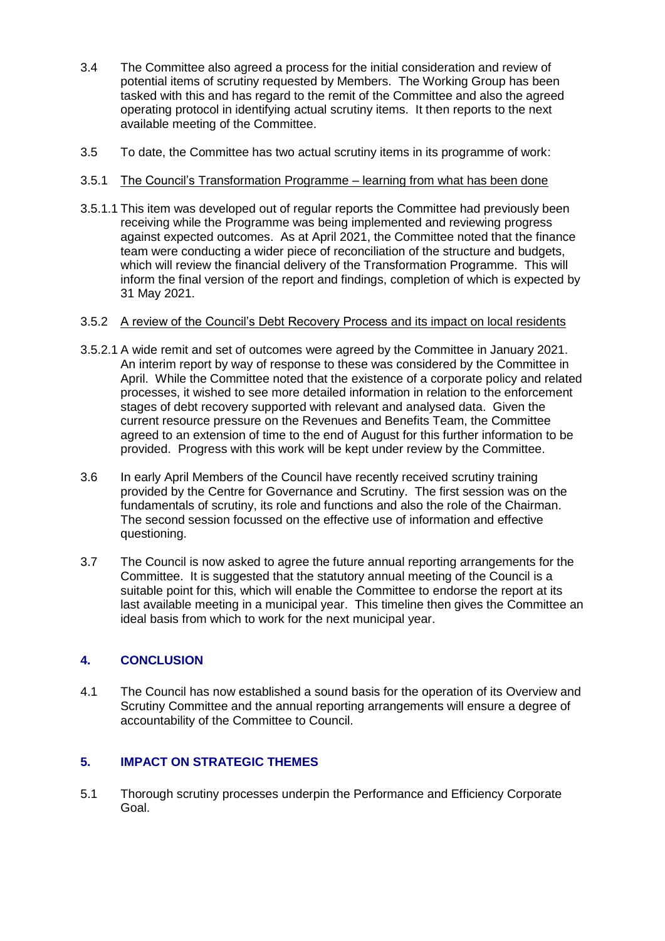- 3.4 The Committee also agreed a process for the initial consideration and review of potential items of scrutiny requested by Members. The Working Group has been tasked with this and has regard to the remit of the Committee and also the agreed operating protocol in identifying actual scrutiny items. It then reports to the next available meeting of the Committee.
- 3.5 To date, the Committee has two actual scrutiny items in its programme of work:

## 3.5.1 The Council's Transformation Programme – learning from what has been done

3.5.1.1 This item was developed out of regular reports the Committee had previously been receiving while the Programme was being implemented and reviewing progress against expected outcomes. As at April 2021, the Committee noted that the finance team were conducting a wider piece of reconciliation of the structure and budgets, which will review the financial delivery of the Transformation Programme. This will inform the final version of the report and findings, completion of which is expected by 31 May 2021.

### 3.5.2 A review of the Council's Debt Recovery Process and its impact on local residents

- 3.5.2.1 A wide remit and set of outcomes were agreed by the Committee in January 2021. An interim report by way of response to these was considered by the Committee in April. While the Committee noted that the existence of a corporate policy and related processes, it wished to see more detailed information in relation to the enforcement stages of debt recovery supported with relevant and analysed data. Given the current resource pressure on the Revenues and Benefits Team, the Committee agreed to an extension of time to the end of August for this further information to be provided. Progress with this work will be kept under review by the Committee.
- 3.6 In early April Members of the Council have recently received scrutiny training provided by the Centre for Governance and Scrutiny. The first session was on the fundamentals of scrutiny, its role and functions and also the role of the Chairman. The second session focussed on the effective use of information and effective questioning.
- 3.7 The Council is now asked to agree the future annual reporting arrangements for the Committee. It is suggested that the statutory annual meeting of the Council is a suitable point for this, which will enable the Committee to endorse the report at its last available meeting in a municipal year. This timeline then gives the Committee an ideal basis from which to work for the next municipal year.

# **4. CONCLUSION**

4.1 The Council has now established a sound basis for the operation of its Overview and Scrutiny Committee and the annual reporting arrangements will ensure a degree of accountability of the Committee to Council.

# **5. IMPACT ON STRATEGIC THEMES**

5.1 Thorough scrutiny processes underpin the Performance and Efficiency Corporate Goal.